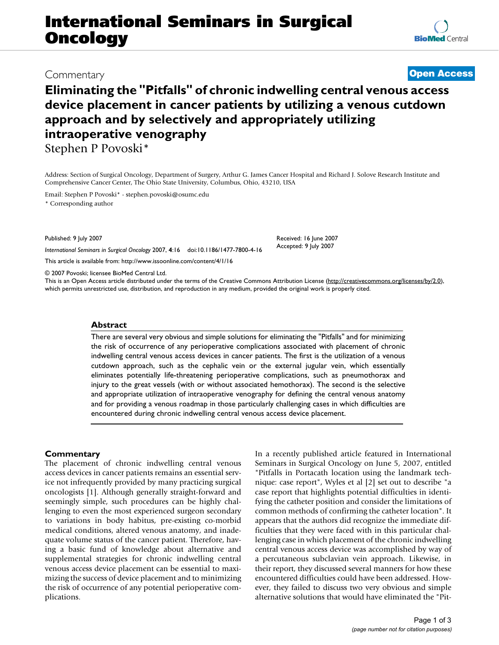# **International Seminars in Surgical Oncology**

# **Eliminating the "Pitfalls" of chronic indwelling central venous access device placement in cancer patients by utilizing a venous cutdown approach and by selectively and appropriately utilizing intraoperative venography**

Stephen P Povoski\*

Address: Section of Surgical Oncology, Department of Surgery, Arthur G. James Cancer Hospital and Richard J. Solove Research Institute and Comprehensive Cancer Center, The Ohio State University, Columbus, Ohio, 43210, USA

Email: Stephen P Povoski\* - stephen.povoski@osumc.edu

\* Corresponding author

Published: 9 July 2007

*International Seminars in Surgical Oncology* 2007, **4**:16 doi:10.1186/1477-7800-4-16

[This article is available from: http://www.issoonline.com/content/4/1/16](http://www.issoonline.com/content/4/1/16)

© 2007 Povoski; licensee BioMed Central Ltd.

This is an Open Access article distributed under the terms of the Creative Commons Attribution License [\(http://creativecommons.org/licenses/by/2.0\)](http://creativecommons.org/licenses/by/2.0), which permits unrestricted use, distribution, and reproduction in any medium, provided the original work is properly cited.

## **Abstract**

There are several very obvious and simple solutions for eliminating the "Pitfalls" and for minimizing the risk of occurrence of any perioperative complications associated with placement of chronic indwelling central venous access devices in cancer patients. The first is the utilization of a venous cutdown approach, such as the cephalic vein or the external jugular vein, which essentially eliminates potentially life-threatening perioperative complications, such as pneumothorax and injury to the great vessels (with or without associated hemothorax). The second is the selective and appropriate utilization of intraoperative venography for defining the central venous anatomy and for providing a venous roadmap in those particularly challenging cases in which difficulties are encountered during chronic indwelling central venous access device placement.

# **Commentary**

The placement of chronic indwelling central venous access devices in cancer patients remains an essential service not infrequently provided by many practicing surgical oncologists [1]. Although generally straight-forward and seemingly simple, such procedures can be highly challenging to even the most experienced surgeon secondary to variations in body habitus, pre-existing co-morbid medical conditions, altered venous anatomy, and inadequate volume status of the cancer patient. Therefore, having a basic fund of knowledge about alternative and supplemental strategies for chronic indwelling central venous access device placement can be essential to maximizing the success of device placement and to minimizing the risk of occurrence of any potential perioperative complications.

In a recently published article featured in International Seminars in Surgical Oncology on June 5, 2007, entitled "Pitfalls in Portacath location using the landmark technique: case report", Wyles et al [2] set out to describe "a case report that highlights potential difficulties in identifying the catheter position and consider the limitations of common methods of confirming the catheter location". It appears that the authors did recognize the immediate difficulties that they were faced with in this particular challenging case in which placement of the chronic indwelling central venous access device was accomplished by way of a percutaneous subclavian vein approach. Likewise, in their report, they discussed several manners for how these encountered difficulties could have been addressed. However, they failed to discuss two very obvious and simple alternative solutions that would have eliminated the "Pit-

# Commentary **[Open Access](http://www.biomedcentral.com/info/about/charter/)**

Received: 16 June 2007 Accepted: 9 July 2007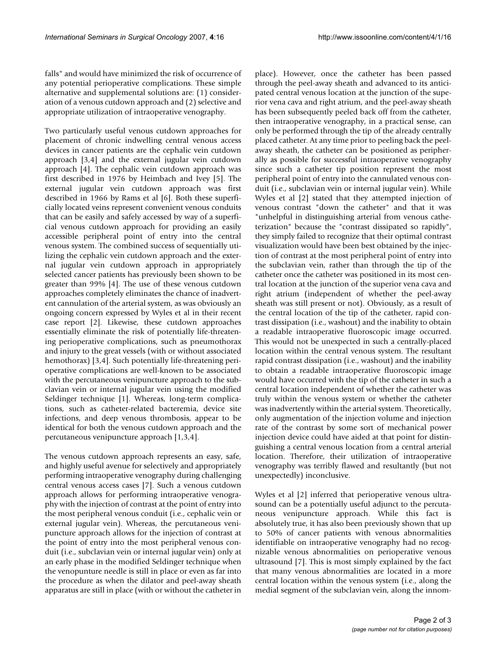falls" and would have minimized the risk of occurrence of any potential perioperative complications. These simple alternative and supplemental solutions are: (1) consideration of a venous cutdown approach and (2) selective and appropriate utilization of intraoperative venography.

Two particularly useful venous cutdown approaches for placement of chronic indwelling central venous access devices in cancer patients are the cephalic vein cutdown approach [3,4] and the external jugular vein cutdown approach [4]. The cephalic vein cutdown approach was first described in 1976 by Heimbach and Ivey [5]. The external jugular vein cutdown approach was first described in 1966 by Rams et al [6]. Both these superficially located veins represent convenient venous conduits that can be easily and safely accessed by way of a superficial venous cutdown approach for providing an easily accessible peripheral point of entry into the central venous system. The combined success of sequentially utilizing the cephalic vein cutdown approach and the external jugular vein cutdown approach in appropriately selected cancer patients has previously been shown to be greater than 99% [4]. The use of these venous cutdown approaches completely eliminates the chance of inadvertent cannulation of the arterial system, as was obviously an ongoing concern expressed by Wyles et al in their recent case report [2]. Likewise, these cutdown approaches essentially eliminate the risk of potentially life-threatening perioperative complications, such as pneumothorax and injury to the great vessels (with or without associated hemothorax) [3,4]. Such potentially life-threatening perioperative complications are well-known to be associated with the percutaneous venipuncture approach to the subclavian vein or internal jugular vein using the modified Seldinger technique [1]. Whereas, long-term complications, such as catheter-related bacteremia, device site infections, and deep venous thrombosis, appear to be identical for both the venous cutdown approach and the percutaneous venipuncture approach [1,3,4].

The venous cutdown approach represents an easy, safe, and highly useful avenue for selectively and appropriately performing intraoperative venography during challenging central venous access cases [7]. Such a venous cutdown approach allows for performing intraoperative venography with the injection of contrast at the point of entry into the most peripheral venous conduit (i.e., cephalic vein or external jugular vein). Whereas, the percutaneous venipuncture approach allows for the injection of contrast at the point of entry into the most peripheral venous conduit (i.e., subclavian vein or internal jugular vein) only at an early phase in the modified Seldinger technique when the venopunture needle is still in place or even as far into the procedure as when the dilator and peel-away sheath apparatus are still in place (with or without the catheter in

place). However, once the catheter has been passed through the peel-away sheath and advanced to its anticipated central venous location at the junction of the superior vena cava and right atrium, and the peel-away sheath has been subsequently peeled back off from the catheter, then intraoperative venography, in a practical sense, can only be performed through the tip of the already centrally placed catheter. At any time prior to peeling back the peelaway sheath, the catheter can be positioned as peripherally as possible for successful intraoperative venography since such a catheter tip position represent the most peripheral point of entry into the cannulated venous conduit (i.e., subclavian vein or internal jugular vein). While Wyles et al [2] stated that they attempted injection of venous contrast "down the catheter" and that it was "unhelpful in distinguishing arterial from venous catheterization" because the "contrast dissipated so rapidly", they simply failed to recognize that their optimal contrast visualization would have been best obtained by the injection of contrast at the most peripheral point of entry into the subclavian vein, rather than through the tip of the catheter once the catheter was positioned in its most central location at the junction of the superior vena cava and right atrium (independent of whether the peel-away sheath was still present or not). Obviously, as a result of the central location of the tip of the catheter, rapid contrast dissipation (i.e., washout) and the inability to obtain a readable intraoperative fluoroscopic image occurred. This would not be unexpected in such a centrally-placed location within the central venous system. The resultant rapid contrast dissipation (i.e., washout) and the inability to obtain a readable intraoperative fluoroscopic image would have occurred with the tip of the catheter in such a central location independent of whether the catheter was truly within the venous system or whether the catheter was inadvertently within the arterial system. Theoretically, only augmentation of the injection volume and injection rate of the contrast by some sort of mechanical power injection device could have aided at that point for distinguishing a central venous location from a central arterial location. Therefore, their utilization of intraoperative venography was terribly flawed and resultantly (but not unexpectedly) inconclusive.

Wyles et al [2] inferred that perioperative venous ultrasound can be a potentially useful adjunct to the percutaneous venipuncture approach. While this fact is absolutely true, it has also been previously shown that up to 50% of cancer patients with venous abnormalities identifiable on intraoperative venography had no recognizable venous abnormalities on perioperative venous ultrasound [7]. This is most simply explained by the fact that many venous abnormalities are located in a more central location within the venous system (i.e., along the medial segment of the subclavian vein, along the innom-